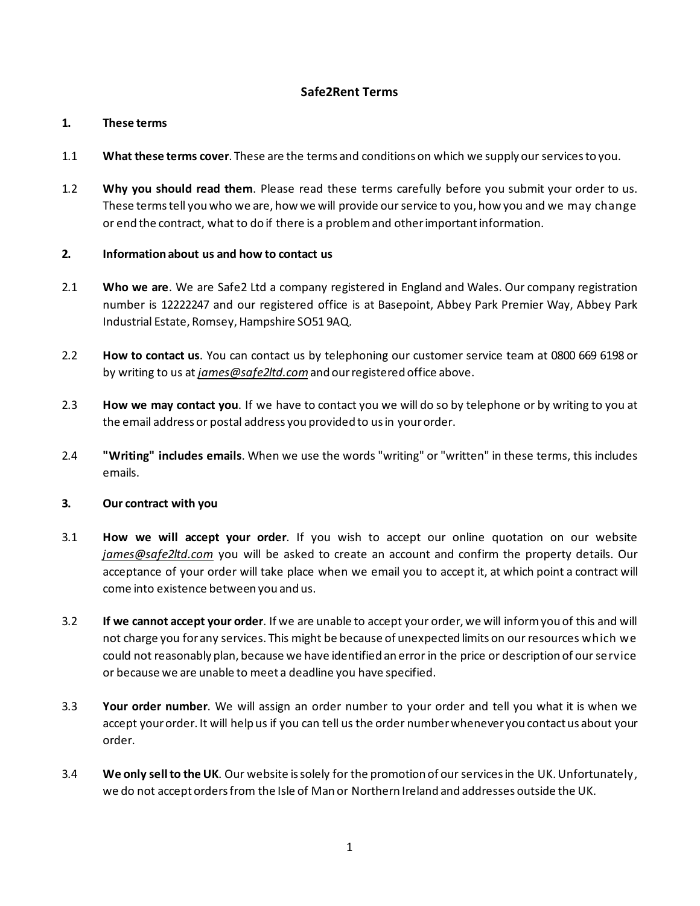# **Safe2Rent Terms**

## **1. These terms**

- 1.1 **What these terms cover**. These are the terms and conditions on which we supply our services to you.
- 1.2 **Why you should read them**. Please read these terms carefully before you submit your order to us. These terms tell you who we are, how we will provide our service to you, how you and we may change or end the contract, what to do if there is a problem and other important information.

#### **2. Information about us and how to contact us**

- 2.1 **Who we are**. We are Safe2 Ltd a company registered in England and Wales. Our company registration number is 12222247 and our registered office is at Basepoint, Abbey Park Premier Way, Abbey Park Industrial Estate, Romsey, Hampshire SO51 9AQ.
- 2.2 **How to contact us**. You can contact us by telephoning our customer service team at 0800 669 6198 or by writing to us at *[james@safe2ltd.com](mailto:info@safe2buycertificate.co.uk)*and our registered office above.
- 2.3 **How we may contact you**. If we have to contact you we will do so by telephone or by writing to you at the email address or postal address you provided to us in your order.
- 2.4 **"Writing" includes emails**. When we use the words "writing" or "written" in these terms, this includes emails.

#### **3. Our contract with you**

- 3.1 **How we will accept your order**. If you wish to accept our online quotation on our website *[james@safe2ltd.com](mailto:info@safe2buycertificate.co.uk)* you will be asked to create an account and confirm the property details. Our acceptance of your order will take place when we email you to accept it, at which point a contract will come into existence between you and us.
- 3.2 **If we cannot accept your order**. If we are unable to accept your order, we will inform you of this and will not charge you for any services. This might be because of unexpected limits on our resources which we could not reasonably plan, because we have identified an error in the price or description of our service or because we are unable to meet a deadline you have specified.
- 3.3 **Your order number**. We will assign an order number to your order and tell you what it is when we accept your order. It will help us if you can tell us the order number whenever you contact us about your order.
- 3.4 **We only sell to the UK**. Our website is solely for the promotion of our servicesin the UK. Unfortunately, we do not accept orders from the Isle of Man or Northern Ireland and addresses outside the UK.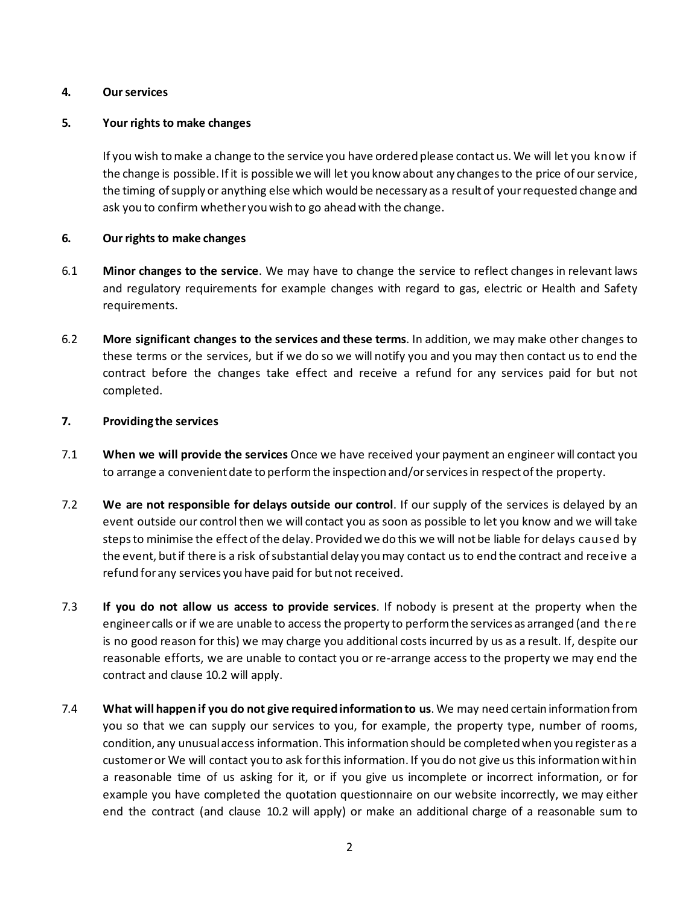### **4. Our services**

## **5. Your rights to make changes**

If you wish to make a change to the service you have ordered please contact us. We will let you know if the change is possible. If it is possible we will let you know about any changes to the price of our service, the timing of supply or anything else which would be necessary as a result of your requested change and ask you to confirm whether you wish to go ahead with the change.

## <span id="page-1-0"></span>**6. Our rights to make changes**

- 6.1 **Minor changes to the service**. We may have to change the service to reflect changes in relevant laws and regulatory requirements for example changes with regard to gas, electric or Health and Safety requirements.
- <span id="page-1-1"></span>6.2 **More significant changes to the services and these terms**. In addition, we may make other changes to these terms or the services, but if we do so we will notify you and you may then contact us to end the contract before the changes take effect and receive a refund for any services paid for but not completed.

#### **7. Providing the services**

- 7.1 **When we will provide the services** Once we have received your payment an engineer will contact you to arrange a convenient date to perform the inspection and/or services in respect of the property.
- 7.2 **We are not responsible for delays outside our control**. If our supply of the services is delayed by an event outside our control then we will contact you as soon as possible to let you know and we will take steps to minimise the effect of the delay. Provided we do this we will not be liable for delays caused by the event, but if there is a risk of substantial delay you may contact us to end the contract and receive a refund for any services you have paid for but not received.
- 7.3 **If you do not allow us access to provide services**. If nobody is present at the property when the engineer calls or if we are unable to access the property to perform the services as arranged (and there is no good reason for this) we may charge you additional costs incurred by us as a result. If, despite our reasonable efforts, we are unable to contact you or re-arrange access to the property we may end the contract and claus[e 10.2](#page-3-0) will apply.
- 7.4 **What will happen if you do not give required information to us**. We may need certain information from you so that we can supply our services to you, for example, the property type, number of rooms, condition, any unusual access information. This information should be completed when you register as a customer or We will contact you to ask for this information. If you do not give us this information within a reasonable time of us asking for it, or if you give us incomplete or incorrect information, or for example you have completed the quotation questionnaire on our website incorrectly, we may either end the contract (and claus[e 10.2](#page-3-0) will apply) or make an additional charge of a reasonable sum to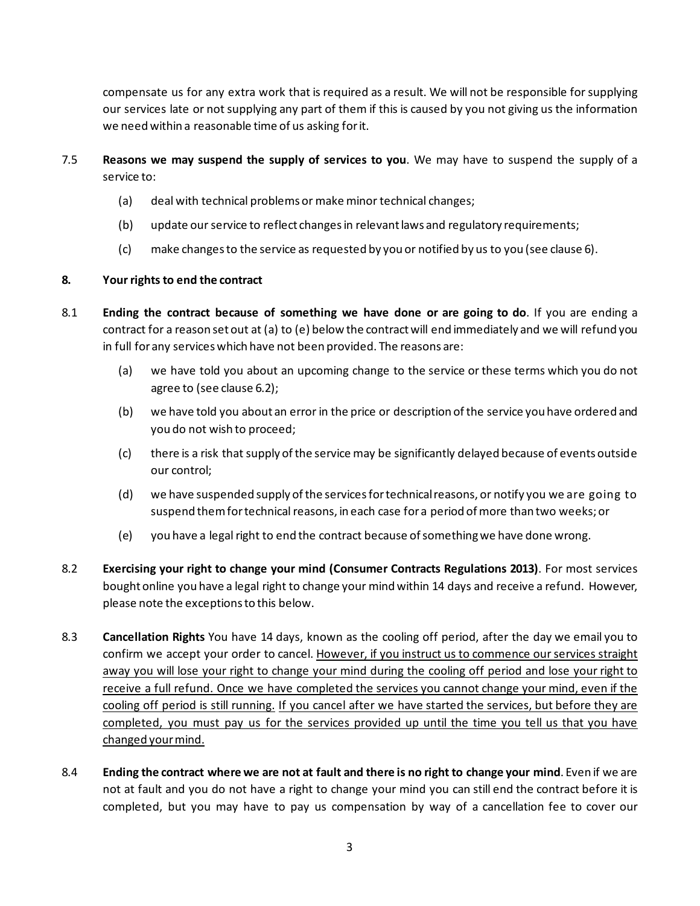compensate us for any extra work that is required as a result. We will not be responsible for supplying our services late or not supplying any part of them if this is caused by you not giving us the information we need within a reasonable time of us asking for it.

- 7.5 **Reasons we may suspend the supply of services to you**. We may have to suspend the supply of a service to:
	- (a) deal with technical problems or make minor technical changes;
	- (b) update our service to reflect changes in relevant laws and regulatory requirements;
	- (c) make changes to the service as requested by you or notified by us to you (see claus[e 6\)](#page-1-0).

#### **8. Your rights to end the contract**

- 8.1 **Ending the contract because of something we have done or are going to do**. If you are ending a contract for a reason set out at (a) to (e) below the contract will end immediately and we will refund you in full for any services which have not been provided. The reasons are:
	- (a) we have told you about an upcoming change to the service or these terms which you do not agree to (see claus[e 6.2\)](#page-1-1);
	- (b) we have told you about an error in the price or description of the service you have ordered and you do not wish to proceed;
	- (c) there is a risk that supply of the service may be significantly delayed because of events outside our control;
	- (d) we have suspended supply of the servicesfor technical reasons, or notify you we are going to suspend them for technical reasons, in each case for a period of more than two weeks; or
	- (e) you have a legal right to end the contract because of something we have done wrong.
- 8.2 **Exercising your right to change your mind (Consumer Contracts Regulations 2013)**. For most services bought online you have a legal right to change your mind within 14 days and receive a refund. However, please note the exceptions to this below.
- 8.3 **Cancellation Rights** You have 14 days, known as the cooling off period, after the day we email you to confirm we accept your order to cancel. However, if you instruct us to commence our services straight away you will lose your right to change your mind during the cooling off period and lose your right to receive a full refund. Once we have completed the services you cannot change your mind, even if the cooling off period is still running. If you cancel after we have started the services, but before they are completed, you must pay us for the services provided up until the time you tell us that you have changed your mind.
- 8.4 **Ending the contract where we are not at fault and there is no right to change your mind**. Even if we are not at fault and you do not have a right to change your mind you can still end the contract before it is completed, but you may have to pay us compensation by way of a cancellation fee to cover our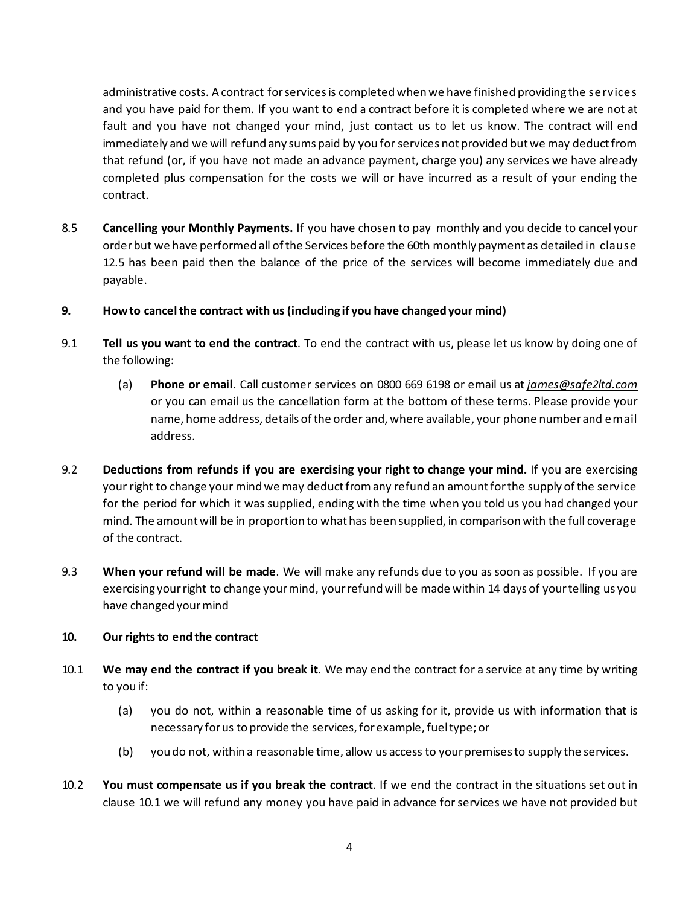administrative costs. A contract for services is completed when we have finished providing the services and you have paid for them. If you want to end a contract before it is completed where we are not at fault and you have not changed your mind, just contact us to let us know. The contract will end immediately and we will refund any sums paid by you for services not provided but we may deduct from that refund (or, if you have not made an advance payment, charge you) any services we have already completed plus compensation for the costs we will or have incurred as a result of your ending the contract.

- 8.5 **Cancelling your Monthly Payments.** If you have chosen to pay monthly and you decide to cancel your orderbut we have performed all of the Services before the 60th monthly payment as detailed in clause [12.5](#page-4-0) has been paid then the balance of the price of the services will become immediately due and payable.
- **9. How to cancel the contract with us (including if you have changed your mind)**
- 9.1 **Tell us you want to end the contract**. To end the contract with us, please let us know by doing one of the following:
	- (a) **Phone or email**. Call customer services on 0800 669 6198 or email us at *[james@safe2ltd.com](mailto:james@safe2ltd.com)* or you can email us the cancellation form at the bottom of these terms. Please provide your name, home address, details of the order and, where available, your phone number and email address.
- 9.2 **Deductions from refunds if you are exercising your right to change your mind.** If you are exercising your right to change your mind we may deduct from any refund an amount for the supply of the service for the period for which it was supplied, ending with the time when you told us you had changed your mind. The amount will be in proportion to what has been supplied, in comparison with the full coverage of the contract.
- 9.3 **When your refund will be made**. We will make any refunds due to you as soon as possible. If you are exercising your right to change your mind, your refund will be made within 14 days of your telling us you have changed your mind

## **10. Our rights to end the contract**

- <span id="page-3-1"></span>10.1 **We may end the contract if you break it**. We may end the contract for a service at any time by writing to you if:
	- (a) you do not, within a reasonable time of us asking for it, provide us with information that is necessary for us to provide the services,for example, fuel type; or
	- (b) you do not, within a reasonable time, allow us access to your premises to supply the services.
- <span id="page-3-0"></span>10.2 **You must compensate us if you break the contract**. If we end the contract in the situations set out in clause [10.1](#page-3-1) we will refund any money you have paid in advance for services we have not provided but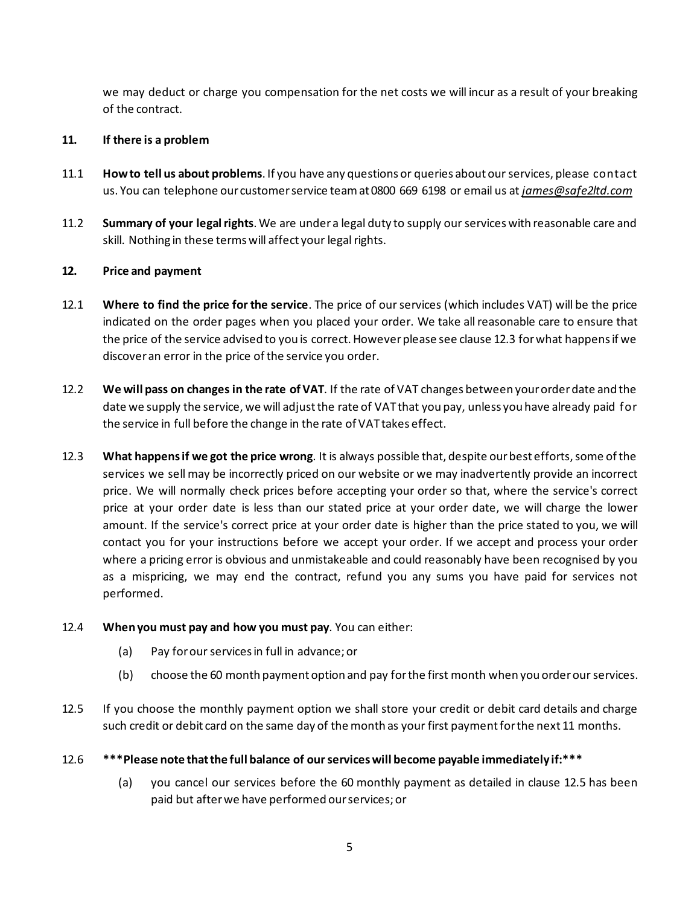we may deduct or charge you compensation for the net costs we will incur as a result of your breaking of the contract.

#### **11. If there is a problem**

- 11.1 **How to tell us about problems**. If you have any questions or queries about our services, please contact us. You can telephone our customer service team at 0800 669 6198 or email us at *[james@safe2ltd.com](mailto:info@safe2buycertificate.co.uk)*
- 11.2 **Summary of your legal rights**. We are under a legal duty to supply our services with reasonable care and skill. Nothing in these terms will affect your legal rights.

## **12. Price and payment**

- 12.1 **Where to find the price for the service**. The price of our services (which includes VAT) will be the price indicated on the order pages when you placed your order. We take all reasonable care to ensure that the price of the service advised to you is correct. However please see claus[e 12.3](#page-4-1) for what happens if we discover an error in the price of the service you order.
- 12.2 **We will pass on changes in the rate of VAT**. If the rate of VAT changes between your order date and the date we supply the service, we will adjust the rate of VAT that you pay, unless you have already paid for the service in full before the change in the rate of VAT takes effect.
- <span id="page-4-1"></span>12.3 **What happens if we got the price wrong**. It is always possible that, despite our best efforts, some of the services we sell may be incorrectly priced on our website or we may inadvertently provide an incorrect price. We will normally check prices before accepting your order so that, where the service's correct price at your order date is less than our stated price at your order date, we will charge the lower amount. If the service's correct price at your order date is higher than the price stated to you, we will contact you for your instructions before we accept your order. If we accept and process your order where a pricing error is obvious and unmistakeable and could reasonably have been recognised by you as a mispricing, we may end the contract, refund you any sums you have paid for services not performed.

#### 12.4 **When you must pay and how you must pay**. You can either:

- (a) Pay for our services in full in advance; or
- (b) choose the 60 month payment option and pay for the first month when you order our services.
- <span id="page-4-0"></span>12.5 If you choose the monthly payment option we shall store your credit or debit card details and charge such credit or debit card on the same day of the month as your first payment for the next 11 months.

## 12.6 **\*\*\*Please note that the full balance of our services will become payable immediately if:\*\*\***

(a) you cancel our services before the 60 monthly payment as detailed in clause [12.5](#page-4-0) has been paid but after we have performed our services; or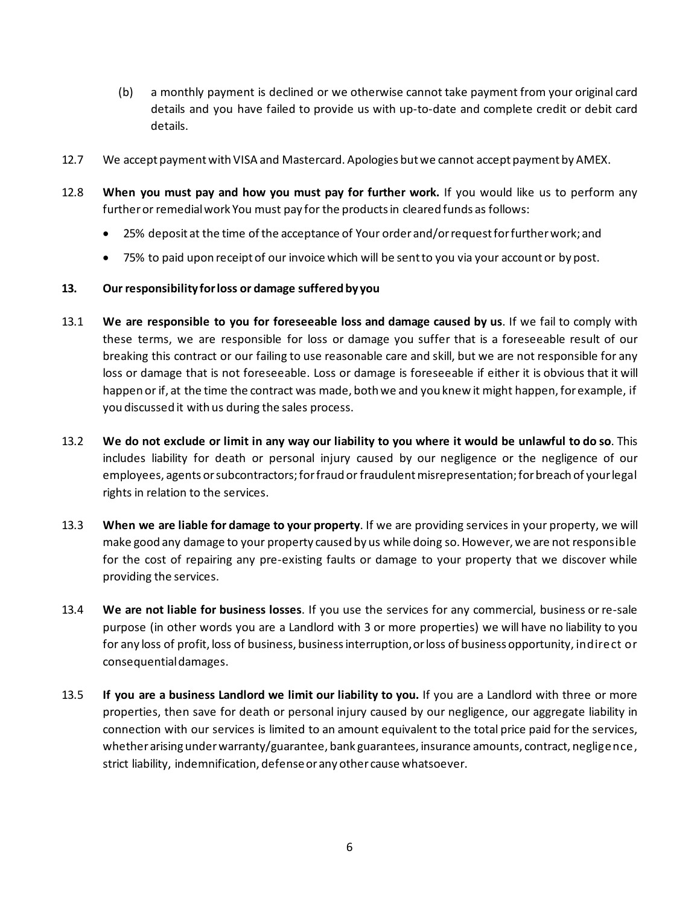- (b) a monthly payment is declined or we otherwise cannot take payment from your original card details and you have failed to provide us with up-to-date and complete credit or debit card details.
- 12.7 We accept payment with VISA and Mastercard. Apologies but we cannot accept payment by AMEX.
- 12.8 **When you must pay and how you must pay for further work.** If you would like us to perform any further or remedial work You must pay for the products in cleared funds as follows:
	- 25% deposit at the time of the acceptance of Your orderand/or request for further work; and
	- 75% to paid upon receipt of our invoice which will be sent to you via your account or by post.

#### **13. Our responsibility for loss or damage suffered by you**

- 13.1 **We are responsible to you for foreseeable loss and damage caused by us**. If we fail to comply with these terms, we are responsible for loss or damage you suffer that is a foreseeable result of our breaking this contract or our failing to use reasonable care and skill, but we are not responsible for any loss or damage that is not foreseeable. Loss or damage is foreseeable if either it is obvious that it will happen or if, at the time the contract was made, both we and you knew it might happen, for example, if you discussed it with us during the sales process.
- 13.2 **We do not exclude or limit in any way our liability to you where it would be unlawful to do so**. This includes liability for death or personal injury caused by our negligence or the negligence of our employees, agents or subcontractors; for fraud or fraudulent misrepresentation; for breach of your legal rights in relation to the services.
- 13.3 **When we are liable for damage to your property**. If we are providing services in your property, we will make good any damage to your property caused by us while doing so. However, we are not responsible for the cost of repairing any pre-existing faults or damage to your property that we discover while providing the services.
- 13.4 **We are not liable for business losses**. If you use the services for any commercial, business or re-sale purpose (in other words you are a Landlord with 3 or more properties) we will have no liability to you for any loss of profit, loss of business, business interruption, or loss of business opportunity, indirect or consequential damages.
- 13.5 **If you are a business Landlord we limit our liability to you.** If you are a Landlord with three or more properties, then save for death or personal injury caused by our negligence, our aggregate liability in connection with our services is limited to an amount equivalent to the total price paid for the services, whether arising under warranty/guarantee, bank guarantees, insurance amounts, contract, negligence, strict liability, indemnification, defense or any other cause whatsoever.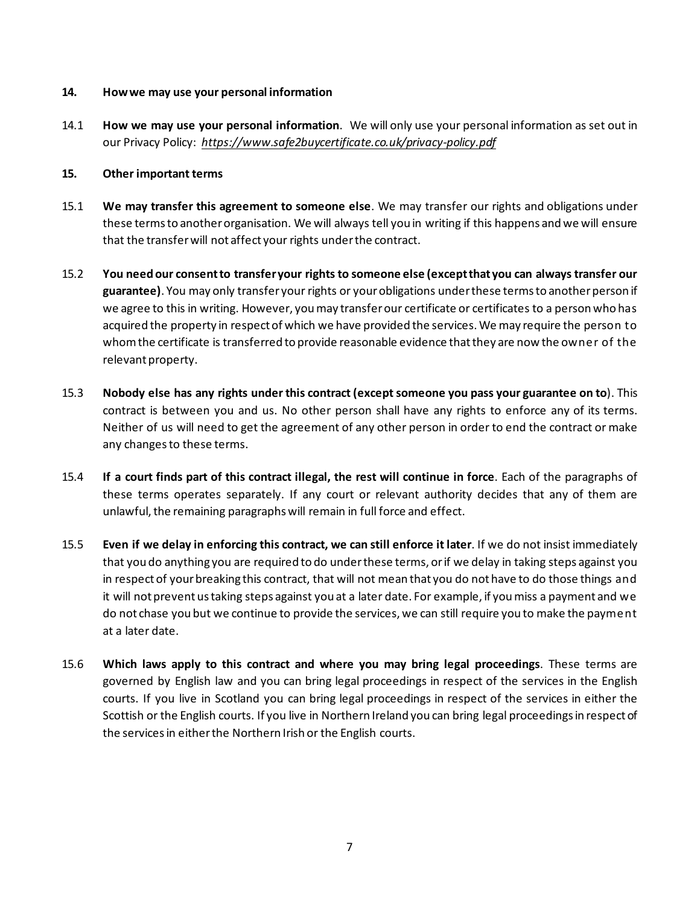#### **14. How we may use your personal information**

14.1 **How we may use your personal information**. We will only use your personal information as set out in our Privacy Policy: *<https://www.safe2buycertificate.co.uk/privacy-policy.pdf>*

## **15. Other important terms**

- 15.1 **We may transfer this agreement to someone else**. We may transfer our rights and obligations under these terms to another organisation. We will always tell you in writing if this happens and we will ensure that the transfer will not affect your rights under the contract.
- 15.2 **You need our consent to transfer your rights to someone else (except that you can always transfer our guarantee)**. You may only transfer your rights or your obligations under these terms to another person if we agree to this in writing. However, you may transfer our certificate or certificates to a person who has acquired the property in respect of which we have provided the services. We may require the person to whom the certificate is transferred to provide reasonable evidence that they are now the owner of the relevant property.
- 15.3 **Nobody else has any rights under this contract (except someone you pass your guarantee on to**). This contract is between you and us. No other person shall have any rights to enforce any of its terms. Neither of us will need to get the agreement of any other person in order to end the contract or make any changes to these terms.
- 15.4 **If a court finds part of this contract illegal, the rest will continue in force**. Each of the paragraphs of these terms operates separately. If any court or relevant authority decides that any of them are unlawful, the remaining paragraphs will remain in full force and effect.
- 15.5 **Even if we delay in enforcing this contract, we can still enforce it later**. If we do not insist immediately that you do anything you are required to do under these terms, or if we delay in taking steps against you in respect of your breaking this contract, that will not mean that you do not have to do those things and it will not prevent us taking steps against you at a later date. For example, if you miss a payment and we do not chase you but we continue to provide the services, we can still require you to make the payment at a later date.
- 15.6 **Which laws apply to this contract and where you may bring legal proceedings**. These terms are governed by English law and you can bring legal proceedings in respect of the services in the English courts. If you live in Scotland you can bring legal proceedings in respect of the services in either the Scottish or the English courts. If you live in Northern Ireland you can bring legal proceedings in respect of the services in either the Northern Irish or the English courts.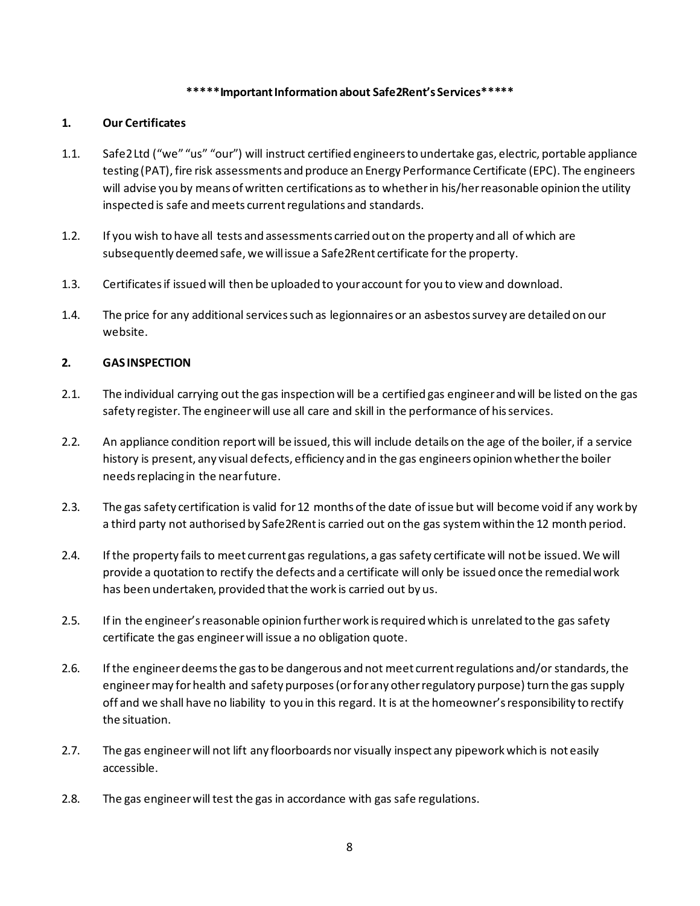## **\*\*\*\*\*Important Information about Safe2Rent's Services\*\*\*\*\***

## **1. Our Certificates**

- 1.1. Safe2Ltd ("we" "us" "our") will instruct certified engineers to undertake gas, electric, portable appliance testing (PAT), fire risk assessments and produce an Energy Performance Certificate (EPC). The engineers will advise you by means of written certifications as to whether in his/herreasonable opinion the utility inspected is safe and meets current regulations and standards.
- 1.2. If you wish to have all tests and assessments carried out on the property and all of which are subsequently deemed safe, we will issue a Safe2Rent certificate for the property.
- 1.3. Certificates if issuedwill then be uploaded to your account for you to view and download.
- 1.4. The price for any additional services such as legionnaires or an asbestos survey are detailed on our website.

#### **2. GAS INSPECTION**

- 2.1. The individual carrying out the gas inspection will be a certified gas engineer and will be listed on the gas safety register. The engineer will use all care and skill in the performance of his services.
- 2.2. An appliance condition report will be issued, this will include details on the age of the boiler, if a service history is present, any visual defects, efficiency and in the gas engineers opinion whether the boiler needs replacing in the near future.
- 2.3. The gas safety certification is valid for12 months of the date of issue but will become void if any work by a third party not authorised by Safe2Rentis carried out on the gas system within the 12 month period.
- 2.4. If the property fails to meet current gas regulations, a gas safety certificate will not be issued. We will provide a quotation to rectify the defects and a certificate will only be issued once the remedial work has been undertaken, provided that the work is carried out by us.
- 2.5. If in the engineer's reasonable opinion further work is required which is unrelated to the gas safety certificate the gas engineer will issue a no obligation quote.
- 2.6. If the engineer deems the gas to be dangerous and not meet current regulations and/orstandards, the engineermay for health and safety purposes(or for any other regulatory purpose) turn the gas supply off and we shall have no liability to you in this regard. It is at the homeowner's responsibility to rectify the situation.
- 2.7. The gas engineer will not lift any floorboards nor visually inspect any pipework which is not easily accessible.
- 2.8. The gas engineer will test the gas in accordance with gas safe regulations.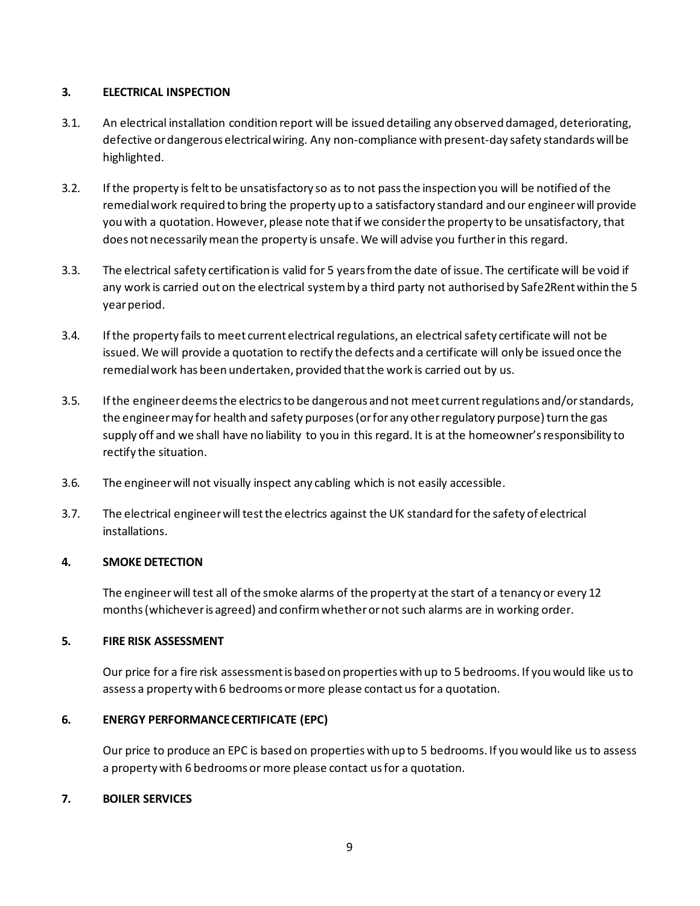## **3. ELECTRICAL INSPECTION**

- 3.1. An electrical installation condition report will be issued detailing any observed damaged, deteriorating, defective or dangerous electrical wiring. Any non-compliance with present-day safety standards will be highlighted.
- 3.2. If the property is felt to be unsatisfactory so as to not pass the inspection you will be notified of the remedial work required to bring the property up to a satisfactory standard and our engineer will provide you with a quotation. However, please note that if we consider the property to be unsatisfactory, that does not necessarily mean the property is unsafe. We will advise you further in this regard.
- 3.3. The electrical safety certification is valid for 5 years fromthe date of issue. The certificate will be void if any work is carried out on the electrical systemby a third party not authorised by Safe2Rentwithin the 5 year period.
- 3.4. If the property fails to meet current electrical regulations, an electrical safety certificate will not be issued. We will provide a quotation to rectify the defects and a certificate will only be issued once the remedial work has been undertaken, provided that the work is carried out by us.
- 3.5. If the engineer deems the electrics to be dangerous and not meet current regulations and/or standards, the engineer may for health and safety purposes (or for any other regulatory purpose) turn the gas supply off and we shall have no liability to you in this regard. It is at the homeowner's responsibility to rectify the situation.
- 3.6. The engineer will not visually inspect any cabling which is not easily accessible.
- 3.7. The electrical engineer will test the electrics against the UK standard for the safety of electrical installations.

#### **4. SMOKE DETECTION**

The engineer will test all of the smoke alarms of the property at the start of a tenancy or every 12 months (whichever is agreed) and confirm whether or not such alarms are in working order.

#### **5. FIRE RISK ASSESSMENT**

Our price for a fire risk assessment is based on properties with up to 5 bedrooms. If you would like us to assess a property with 6 bedrooms or more please contact us for a quotation.

## **6. ENERGY PERFORMANCE CERTIFICATE (EPC)**

Our price to produce an EPC is based on properties with up to 5 bedrooms. If you would like us to assess a property with 6 bedrooms or more please contact us for a quotation.

#### **7. BOILER SERVICES**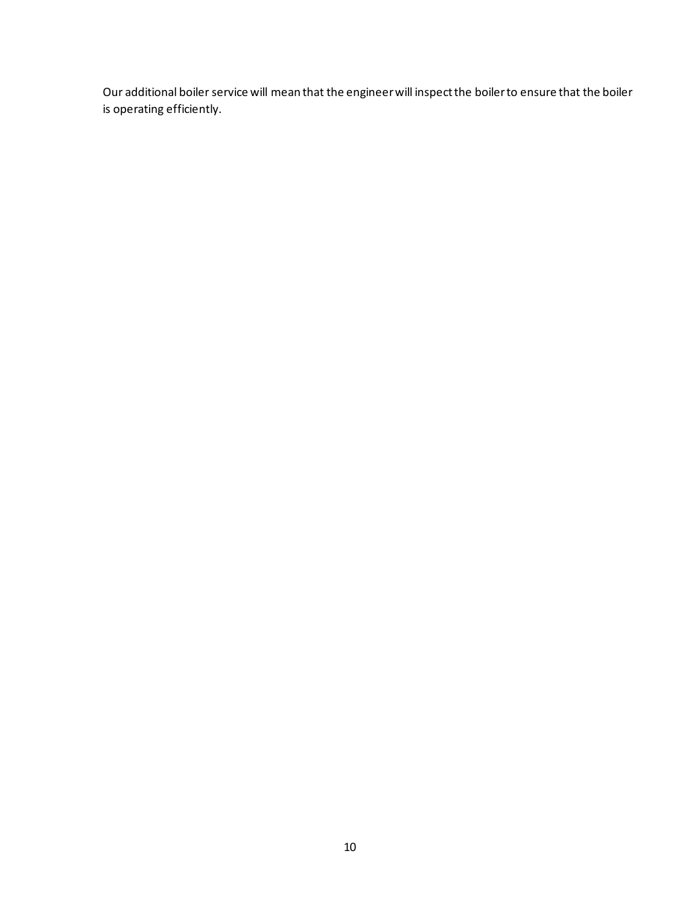Our additional boiler service will mean that the engineer will inspect the boiler to ensure that the boiler is operating efficiently.